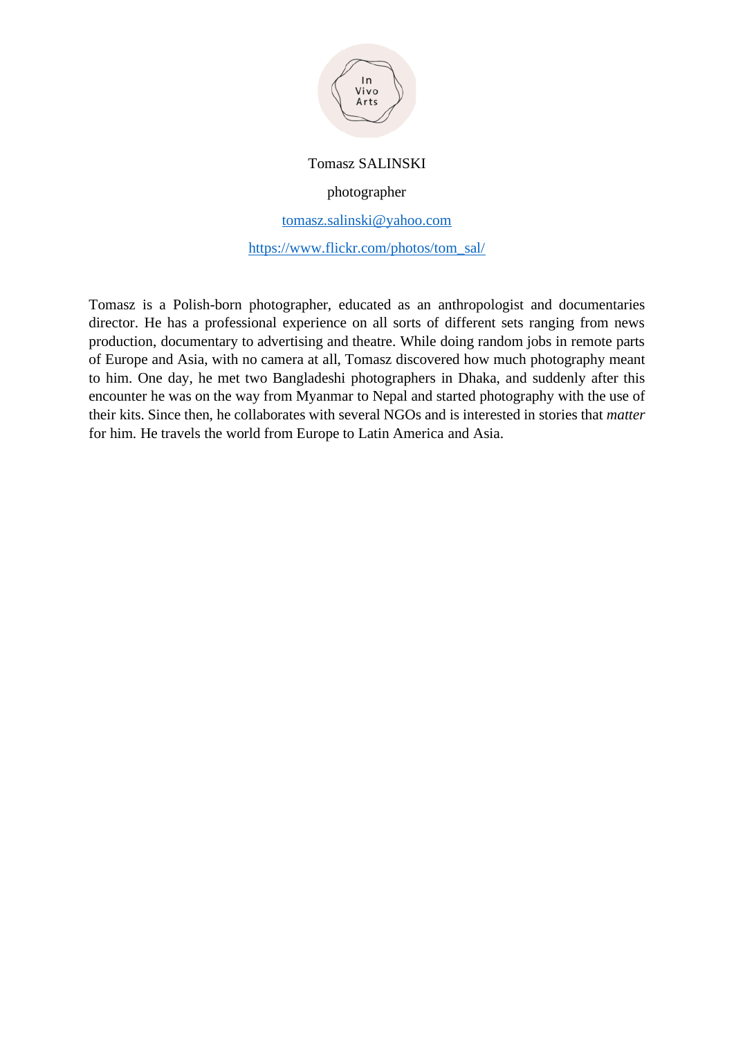

## Tomasz SALINSKI

photographer

[tomasz.salinski@yahoo.com](mailto:tomasz.salinski@yahoo.com)

[https://www.flickr.com/photos/tom\\_sal/](https://www.flickr.com/photos/tom_sal/)

Tomasz is a Polish-born photographer, educated as an anthropologist and documentaries director. He has a professional experience on all sorts of different sets ranging from news production, documentary to advertising and theatre. While doing random jobs in remote parts of Europe and Asia, with no camera at all, Tomasz discovered how much photography meant to him. One day, he met two Bangladeshi photographers in Dhaka, and suddenly after this encounter he was on the way from Myanmar to Nepal and started photography with the use of their kits. Since then, he collaborates with several NGOs and is interested in stories that *matter* for him. He travels the world from Europe to Latin America and Asia.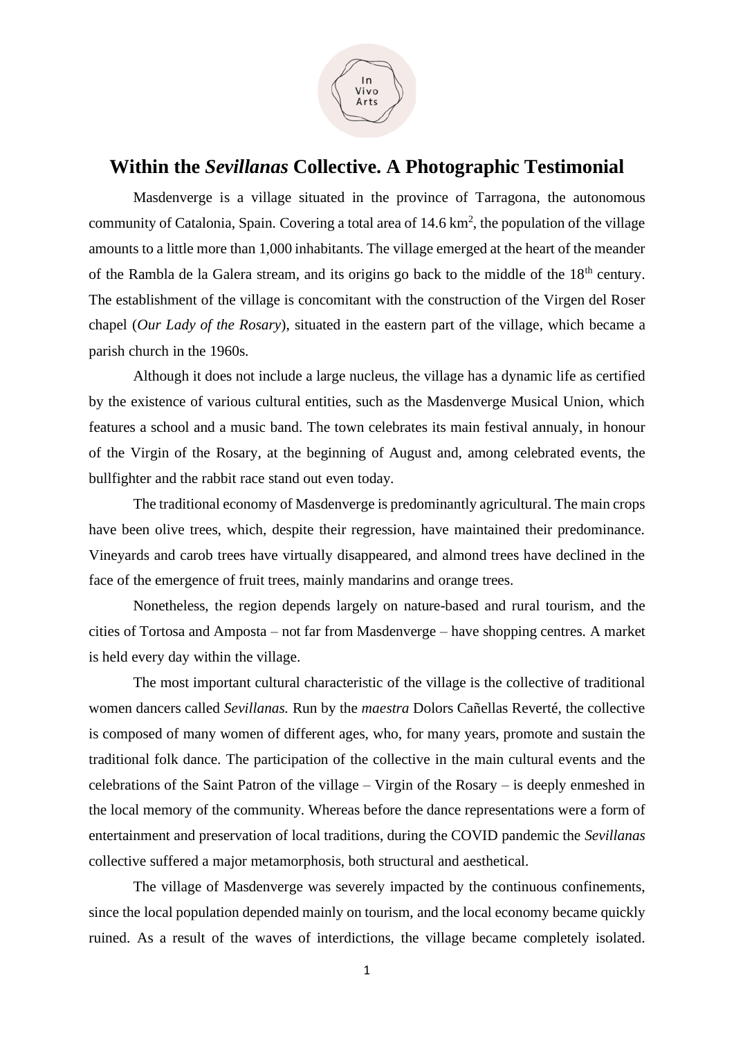

## **Within the** *Sevillanas* **Collective. A Photographic Testimonial**

Masdenverge is a village situated in the province of Tarragona, the autonomous community of Catalonia, Spain. Covering a total area of  $14.6 \text{ km}^2$ , the population of the village amounts to a little more than 1,000 inhabitants. The village emerged at the heart of the meander of the Rambla de la Galera stream, and its origins go back to the middle of the  $18<sup>th</sup>$  century. The establishment of the village is concomitant with the construction of the Virgen del Roser chapel (*Our Lady of the Rosary*), situated in the eastern part of the village, which became a parish church in the 1960s.

Although it does not include a large nucleus, the village has a dynamic life as certified by the existence of various cultural entities, such as the Masdenverge Musical Union, which features a school and a music band. The town celebrates its main festival annualy, in honour of the Virgin of the Rosary, at the beginning of August and, among celebrated events, the bullfighter and the rabbit race stand out even today.

The traditional economy of Masdenverge is predominantly agricultural. The main crops have been olive trees, which, despite their regression, have maintained their predominance. Vineyards and carob trees have virtually disappeared, and almond trees have declined in the face of the emergence of fruit trees, mainly mandarins and orange trees.

Nonetheless, the region depends largely on nature-based and rural tourism, and the cities of Tortosa and Amposta – not far from Masdenverge – have shopping centres. A market is held every day within the village.

The most important cultural characteristic of the village is the collective of traditional women dancers called *Sevillanas.* Run by the *maestra* Dolors Cañellas Reverté, the collective is composed of many women of different ages, who, for many years, promote and sustain the traditional folk dance. The participation of the collective in the main cultural events and the celebrations of the Saint Patron of the village – Virgin of the Rosary – is deeply enmeshed in the local memory of the community. Whereas before the dance representations were a form of entertainment and preservation of local traditions, during the COVID pandemic the *Sevillanas*  collective suffered a major metamorphosis, both structural and aesthetical.

The village of Masdenverge was severely impacted by the continuous confinements, since the local population depended mainly on tourism, and the local economy became quickly ruined. As a result of the waves of interdictions, the village became completely isolated.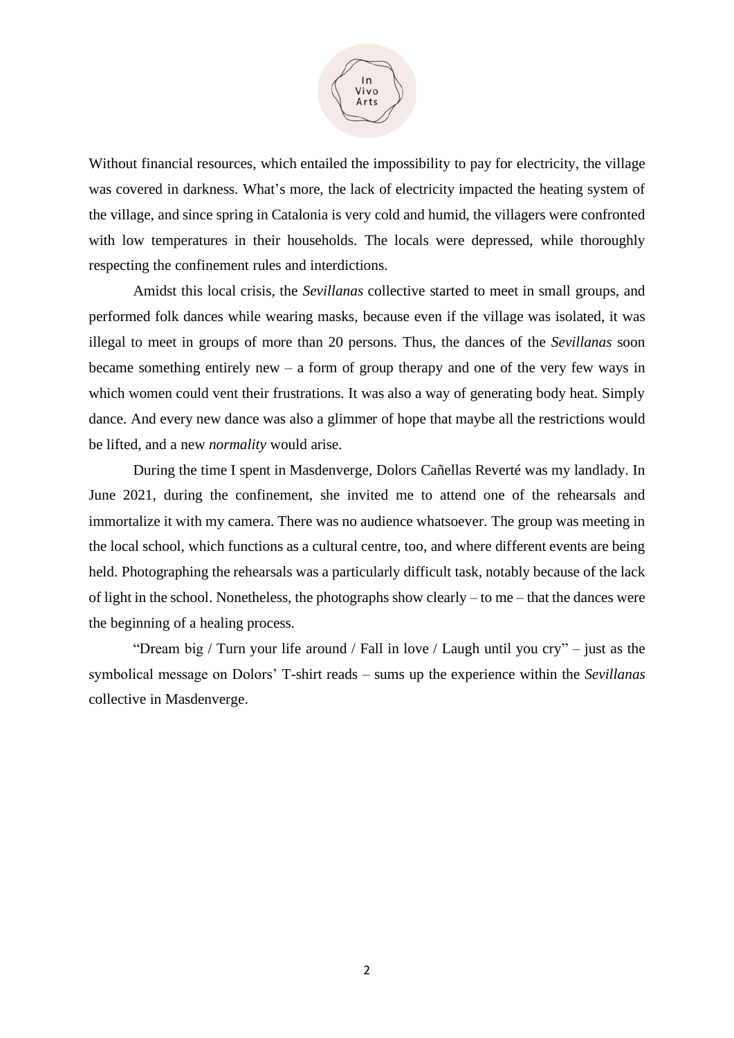

Without financial resources, which entailed the impossibility to pay for electricity, the village was covered in darkness. What's more, the lack of electricity impacted the heating system of the village, and since spring in Catalonia is very cold and humid, the villagers were confronted with low temperatures in their households. The locals were depressed, while thoroughly respecting the confinement rules and interdictions.

Amidst this local crisis, the *Sevillanas* collective started to meet in small groups, and performed folk dances while wearing masks, because even if the village was isolated, it was illegal to meet in groups of more than 20 persons. Thus, the dances of the *Sevillanas* soon became something entirely new – a form of group therapy and one of the very few ways in which women could vent their frustrations. It was also a way of generating body heat. Simply dance. And every new dance was also a glimmer of hope that maybe all the restrictions would be lifted, and a new *normality* would arise.

During the time I spent in Masdenverge, Dolors Cañellas Reverté was my landlady. In June 2021, during the confinement, she invited me to attend one of the rehearsals and immortalize it with my camera. There was no audience whatsoever. The group was meeting in the local school, which functions as a cultural centre, too, and where different events are being held. Photographing the rehearsals was a particularly difficult task, notably because of the lack of light in the school. Nonetheless, the photographs show clearly – to me – that the dances were the beginning of a healing process.

"Dream big / Turn your life around / Fall in love / Laugh until you cry" – just as the symbolical message on Dolors' T-shirt reads – sums up the experience within the *Sevillanas* collective in Masdenverge.